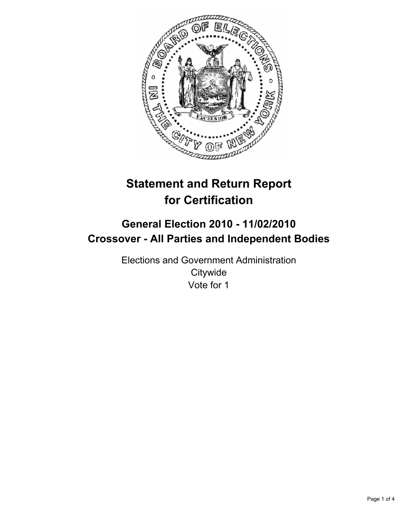

# **Statement and Return Report for Certification**

# **General Election 2010 - 11/02/2010 Crossover - All Parties and Independent Bodies**

Elections and Government Administration **Citywide** Vote for 1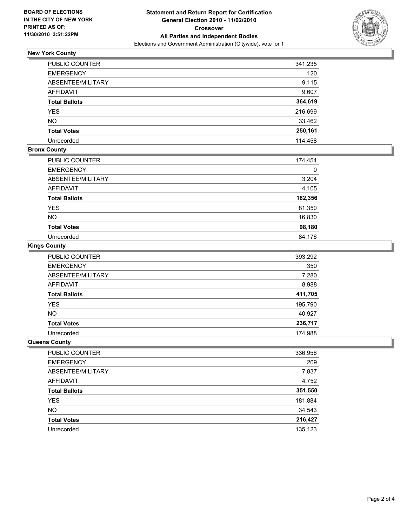

## **New York County**

| PUBLIC COUNTER       | 341,235 |
|----------------------|---------|
| <b>EMERGENCY</b>     | 120     |
| ABSENTEE/MILITARY    | 9,115   |
| <b>AFFIDAVIT</b>     | 9,607   |
| <b>Total Ballots</b> | 364,619 |
| <b>YES</b>           | 216,699 |
| <b>NO</b>            | 33,462  |
| <b>Total Votes</b>   | 250,161 |
| Unrecorded           | 114,458 |

### **Bronx County**

| PUBLIC COUNTER       | 174,454 |
|----------------------|---------|
| <b>EMERGENCY</b>     |         |
| ABSENTEE/MILITARY    | 3,204   |
| <b>AFFIDAVIT</b>     | 4,105   |
| <b>Total Ballots</b> | 182,356 |
| <b>YES</b>           | 81,350  |
| <b>NO</b>            | 16,830  |
| <b>Total Votes</b>   | 98,180  |
| Unrecorded           | 84,176  |

#### **Kings County**

| PUBLIC COUNTER       | 393,292 |
|----------------------|---------|
| <b>EMERGENCY</b>     | 350     |
| ABSENTEE/MILITARY    | 7,280   |
| <b>AFFIDAVIT</b>     | 8,988   |
| <b>Total Ballots</b> | 411,705 |
| <b>YES</b>           | 195,790 |
| <b>NO</b>            | 40,927  |
| <b>Total Votes</b>   | 236,717 |
| Unrecorded           | 174,988 |

#### **Queens County**

| PUBLIC COUNTER       | 336,956 |
|----------------------|---------|
| <b>EMERGENCY</b>     | 209     |
| ABSENTEE/MILITARY    | 7,837   |
| AFFIDAVIT            | 4,752   |
| <b>Total Ballots</b> | 351,550 |
| <b>YES</b>           | 181,884 |
| <b>NO</b>            | 34,543  |
| <b>Total Votes</b>   | 216,427 |
| Unrecorded           | 135,123 |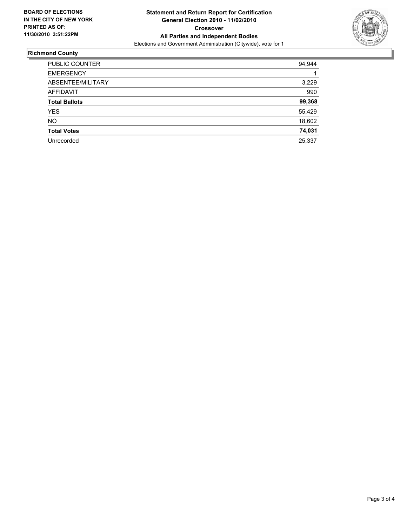

## **Richmond County**

| <b>PUBLIC COUNTER</b> | 94,944 |
|-----------------------|--------|
| <b>EMERGENCY</b>      |        |
| ABSENTEE/MILITARY     | 3,229  |
| AFFIDAVIT             | 990    |
| <b>Total Ballots</b>  | 99,368 |
| YES                   | 55,429 |
| <b>NO</b>             | 18,602 |
| <b>Total Votes</b>    | 74,031 |
| Unrecorded            | 25,337 |